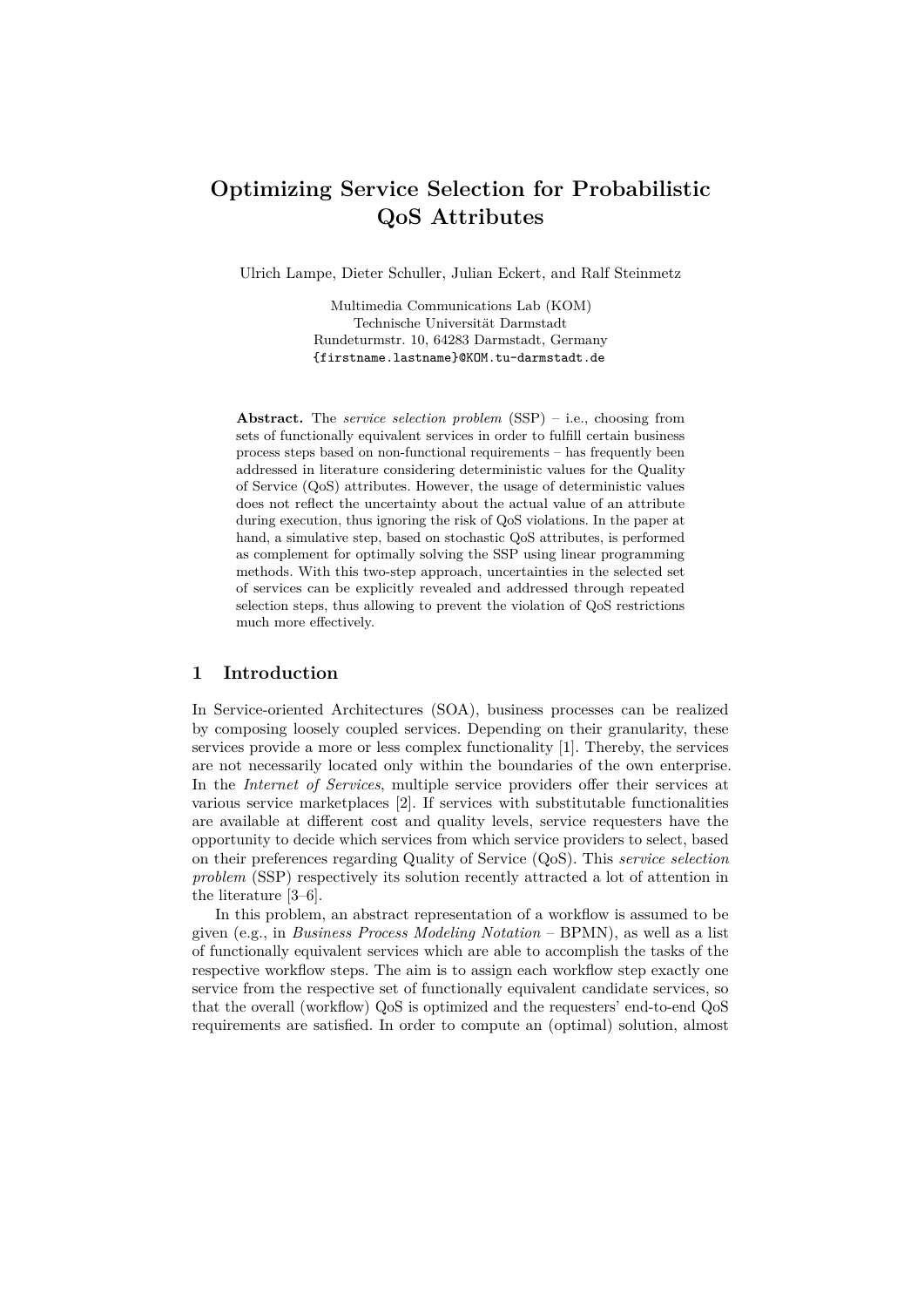# **Optimizing Service Selection for Probabilistic QoS Attributes**

Ulrich Lampe, Dieter Schuller, Julian Eckert, and Ralf Steinmetz

Multimedia Communications Lab (KOM) Technische Universität Darmstadt Rundeturmstr. 10, 64283 Darmstadt, Germany {firstname.lastname}@KOM.tu-darmstadt.de

**Abstract.** The *service selection problem* (SSP) – i.e., choosing from sets of functionally equivalent services in order to fulfill certain business process steps based on non-functional requirements – has frequently been addressed in literature considering deterministic values for the Quality of Service (QoS) attributes. However, the usage of deterministic values does not reflect the uncertainty about the actual value of an attribute during execution, thus ignoring the risk of QoS violations. In the paper at hand, a simulative step, based on stochastic QoS attributes, is performed as complement for optimally solving the SSP using linear programming methods. With this two-step approach, uncertainties in the selected set of services can be explicitly revealed and addressed through repeated selection steps, thus allowing to prevent the violation of QoS restrictions much more effectively.

### **1 Introduction**

In Service-oriented Architectures (SOA), business processes can be realized by composing loosely coupled services. Depending on their granularity, these services provide a more or less complex functionality [1]. Thereby, the services are not necessarily located only within the boundaries of the own enterprise. In the *Internet of Services*, multiple service providers offer their services at various service marketplaces [2]. If services with substitutable functionalities are available at different cost and quality levels, service requesters have the opportunity to decide which services from which service providers to select, based on their preferences regarding Quality of Service (QoS). This *service selection problem* (SSP) respectively its solution recently attracted a lot of attention in the literature [3–6].

In this problem, an abstract representation of a workflow is assumed to be given (e.g., in *Business Process Modeling Notation* – BPMN), as well as a list of functionally equivalent services which are able to accomplish the tasks of the respective workflow steps. The aim is to assign each workflow step exactly one service from the respective set of functionally equivalent candidate services, so that the overall (workflow) QoS is optimized and the requesters' end-to-end QoS requirements are satisfied. In order to compute an (optimal) solution, almost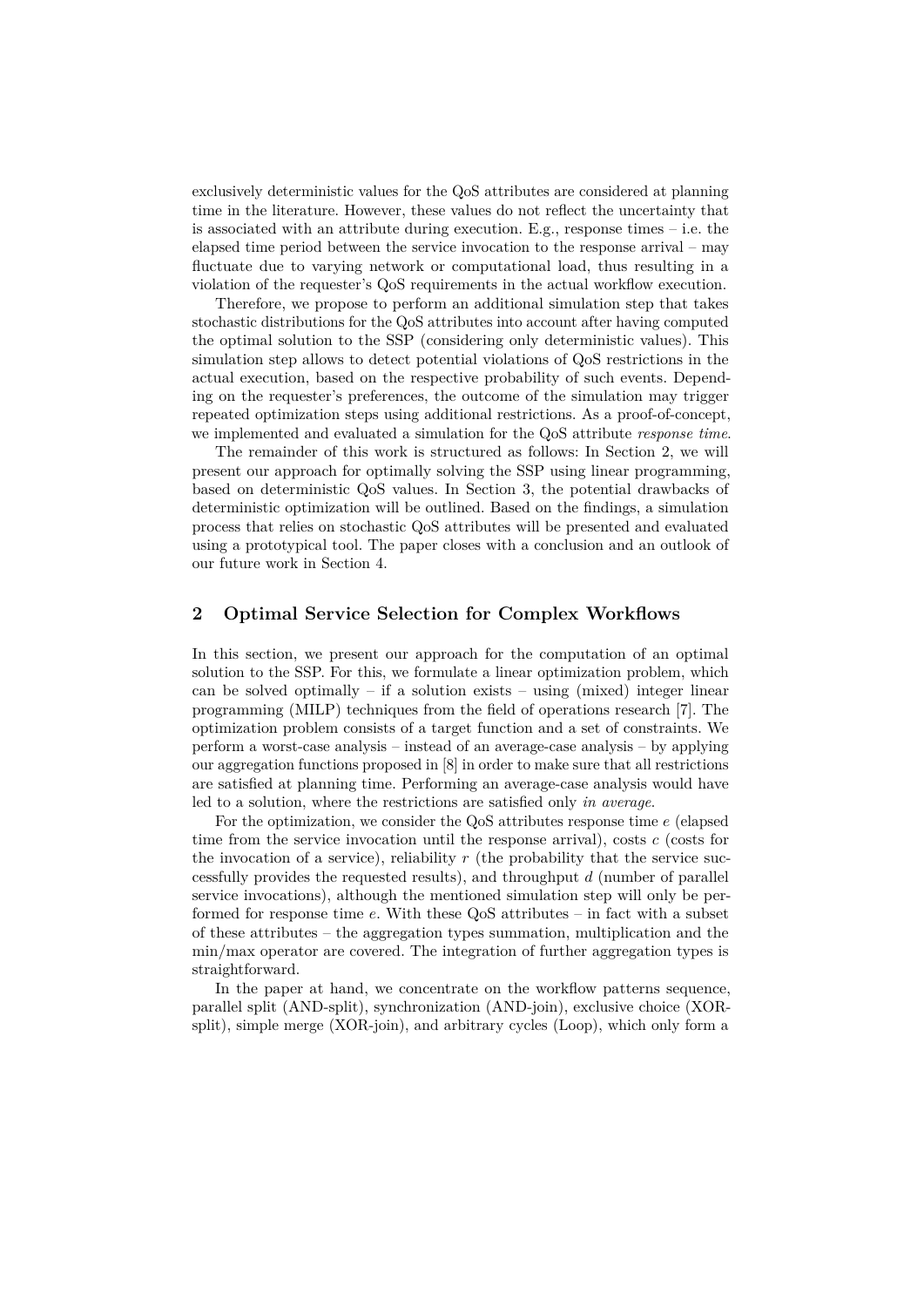exclusively deterministic values for the QoS attributes are considered at planning time in the literature. However, these values do not reflect the uncertainty that is associated with an attribute during execution. E.g., response times – i.e. the elapsed time period between the service invocation to the response arrival – may fluctuate due to varying network or computational load, thus resulting in a violation of the requester's QoS requirements in the actual workflow execution.

Therefore, we propose to perform an additional simulation step that takes stochastic distributions for the QoS attributes into account after having computed the optimal solution to the SSP (considering only deterministic values). This simulation step allows to detect potential violations of QoS restrictions in the actual execution, based on the respective probability of such events. Depending on the requester's preferences, the outcome of the simulation may trigger repeated optimization steps using additional restrictions. As a proof-of-concept, we implemented and evaluated a simulation for the QoS attribute *response time*.

The remainder of this work is structured as follows: In Section 2, we will present our approach for optimally solving the SSP using linear programming, based on deterministic QoS values. In Section 3, the potential drawbacks of deterministic optimization will be outlined. Based on the findings, a simulation process that relies on stochastic QoS attributes will be presented and evaluated using a prototypical tool. The paper closes with a conclusion and an outlook of our future work in Section 4.

#### **2 Optimal Service Selection for Complex Workflows**

In this section, we present our approach for the computation of an optimal solution to the SSP. For this, we formulate a linear optimization problem, which can be solved optimally – if a solution exists – using (mixed) integer linear programming (MILP) techniques from the field of operations research [7]. The optimization problem consists of a target function and a set of constraints. We perform a worst-case analysis – instead of an average-case analysis – by applying our aggregation functions proposed in [8] in order to make sure that all restrictions are satisfied at planning time. Performing an average-case analysis would have led to a solution, where the restrictions are satisfied only *in average*.

For the optimization, we consider the QoS attributes response time *e* (elapsed time from the service invocation until the response arrival), costs *c* (costs for the invocation of a service), reliability  $r$  (the probability that the service successfully provides the requested results), and throughput *d* (number of parallel service invocations), although the mentioned simulation step will only be performed for response time *e*. With these QoS attributes – in fact with a subset of these attributes – the aggregation types summation, multiplication and the min/max operator are covered. The integration of further aggregation types is straightforward.

In the paper at hand, we concentrate on the workflow patterns sequence, parallel split (AND-split), synchronization (AND-join), exclusive choice (XORsplit), simple merge (XOR-join), and arbitrary cycles (Loop), which only form a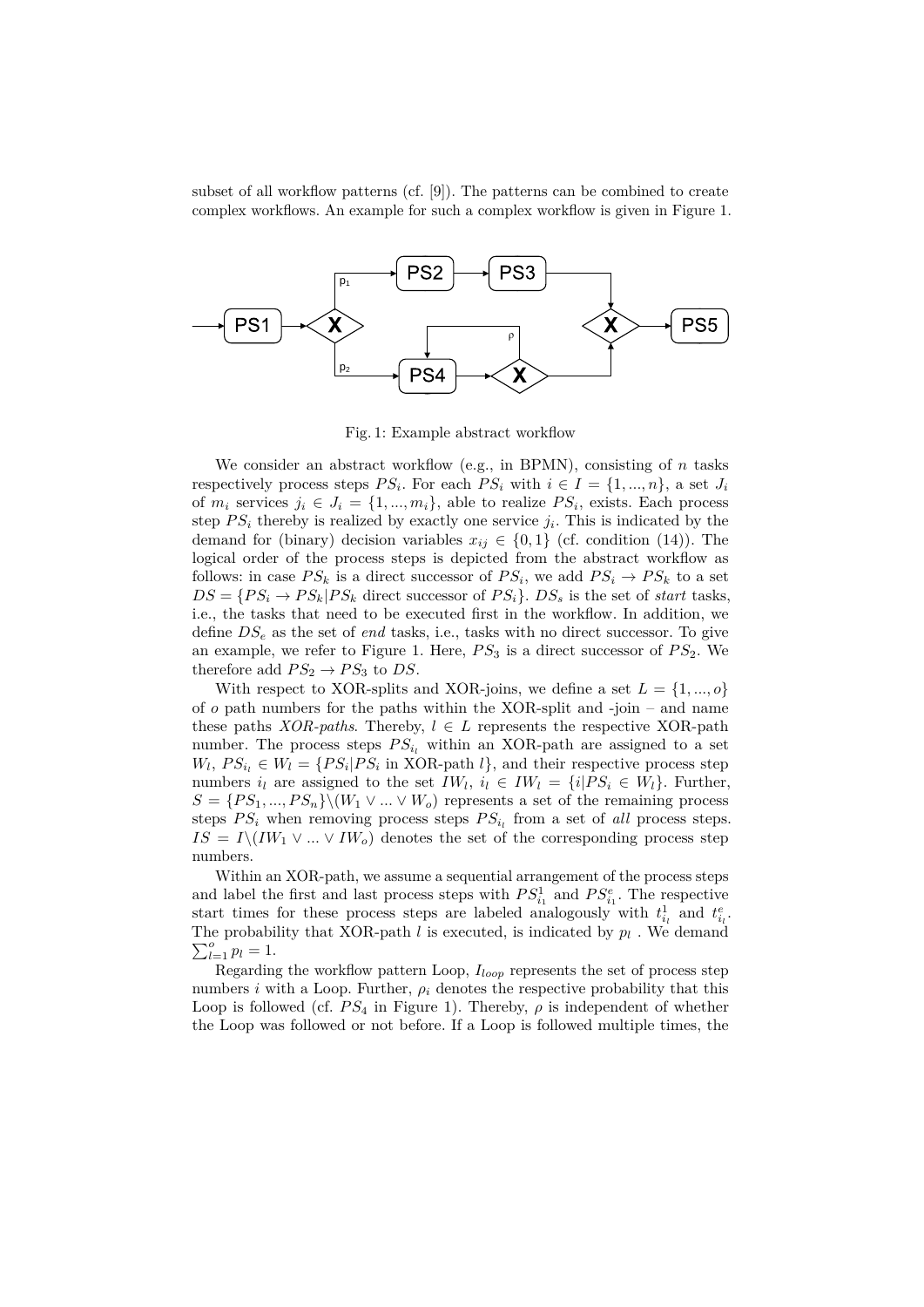subset of all workflow patterns (cf. [9]). The patterns can be combined to create complex workflows. An example for such a complex workflow is given in Figure 1.



Fig. 1: Example abstract workflow

We consider an abstract workflow (e.g., in BPMN), consisting of *n* tasks respectively process steps  $PS_i$ . For each  $PS_i$  with  $i \in I = \{1, ..., n\}$ , a set  $J_i$ of  $m_i$  services  $j_i \in J_i = \{1, ..., m_i\}$ , able to realize  $PS_i$ , exists. Each process step  $PS_i$  thereby is realized by exactly one service  $j_i$ . This is indicated by the demand for (binary) decision variables  $x_{ij} \in \{0,1\}$  (cf. condition (14)). The logical order of the process steps is depicted from the abstract workflow as follows: in case  $PS_k$  is a direct successor of  $PS_i$ , we add  $PS_i \to PS_k$  to a set  $DS = {PS_i \rightarrow PS_k | PS_k}$  direct successor of  $PS_i$ .  $DS_s$  is the set of *start* tasks, i.e., the tasks that need to be executed first in the workflow. In addition, we define *DS<sup>e</sup>* as the set of *end* tasks, i.e., tasks with no direct successor. To give an example, we refer to Figure 1. Here,  $PS_3$  is a direct successor of  $PS_2$ . We therefore add  $PS_2 \rightarrow PS_3$  to *DS*.

With respect to XOR-splits and XOR-joins, we define a set  $L = \{1, ..., o\}$ of *o* path numbers for the paths within the XOR-split and -join – and name these paths *XOR-paths*. Thereby,  $l \in L$  represents the respective XOR-path number. The process steps  $PS_{i_l}$  within an XOR-path are assigned to a set  $W_l$ ,  $PS_{i_l} \in W_l = \{PS_i | PS_i \text{ in XOR-path } l\}$ , and their respective process step numbers  $i_l$  are assigned to the set  $IW_l$ ,  $i_l \in IW_l = \{i | PS_i \in W_l\}$ . Further,  $S = \{PS_1, ..., PS_n\} \setminus (W_1 \vee ... \vee W_o)$  represents a set of the remaining process steps  $PS_i$  when removing process steps  $PS_{i_l}$  from a set of *all* process steps.  $IS = I \setminus (IW_1 \vee ... \vee IW_o)$  denotes the set of the corresponding process step numbers.

Within an XOR-path, we assume a sequential arrangement of the process steps and label the first and last process steps with  $PS_{i_1}^1$  and  $PS_{i_1}^e$ . The respective start times for these process steps are labeled analogously with  $t_{i_l}^1$  and  $t_{i_l}^e$ . The probability that XOR-path  $l$  is executed, is indicated by  $p_l$ . We demand  $\sum_{l=1}^{o} p_l = 1.$ 

Regarding the workflow pattern Loop, *Iloop* represents the set of process step numbers *i* with a Loop. Further,  $\rho_i$  denotes the respective probability that this Loop is followed (cf.  $PS_4$  in Figure 1). Thereby,  $\rho$  is independent of whether the Loop was followed or not before. If a Loop is followed multiple times, the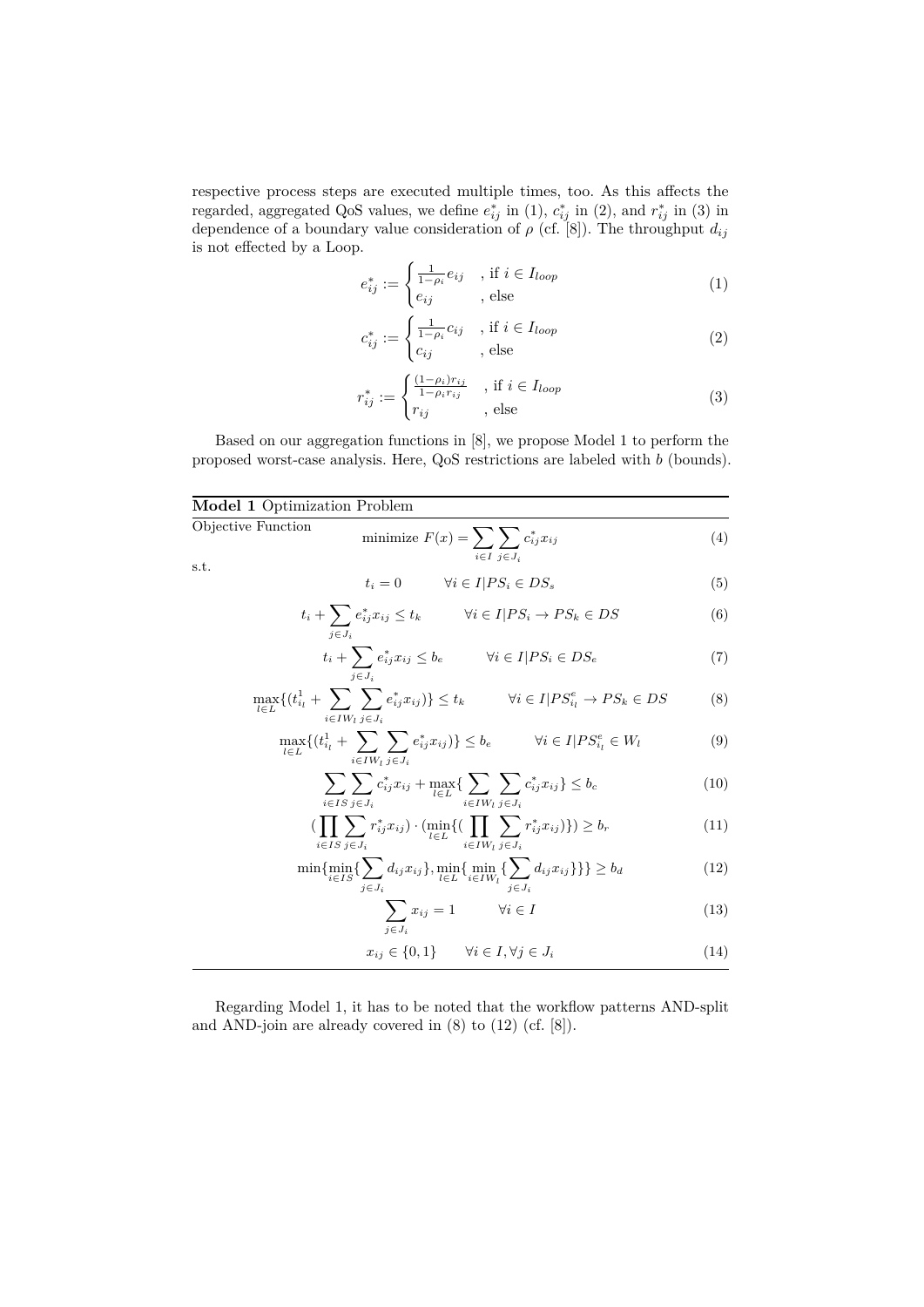respective process steps are executed multiple times, too. As this affects the regarded, aggregated QoS values, we define  $e_{ij}^*$  in (1),  $c_{ij}^*$  in (2), and  $r_{ij}^*$  in (3) in dependence of a boundary value consideration of *ρ* (cf. [8]). The throughput *dij* is not effected by a Loop.

$$
e_{ij}^* := \begin{cases} \frac{1}{1-\rho_i} e_{ij} & , \text{ if } i \in I_{loop} \\ e_{ij} & , \text{ else} \end{cases}
$$
 (1)

$$
c_{ij}^* := \begin{cases} \frac{1}{1 - \rho_i} c_{ij} & , \text{if } i \in I_{loop} \\ c_{ij} & , \text{else} \end{cases}
$$
 (2)

$$
r_{ij}^* := \begin{cases} \frac{(1-\rho_i)r_{ij}}{1-\rho_i r_{ij}} & , \text{ if } i \in I_{loop} \\ r_{ij} & , \text{ else} \end{cases}
$$
 (3)

Based on our aggregation functions in [8], we propose Model 1 to perform the proposed worst-case analysis. Here, QoS restrictions are labeled with *b* (bounds).

| <b>Model 1 Optimization Problem</b> |                                                 |  |
|-------------------------------------|-------------------------------------------------|--|
| Objective Function                  | minimize $F(x) = \sum \sum_{i} c_{ij}^* x_{ij}$ |  |
| s.t.                                | $i \in I$ $i \in J_i$                           |  |

s.t.

$$
t_i = 0 \qquad \forall i \in I | PS_i \in DS_s \tag{5}
$$

$$
t_i + \sum_{j \in J_i} e_{ij}^* x_{ij} \le t_k \qquad \forall i \in I | PS_i \to PS_k \in DS \tag{6}
$$

$$
t_i + \sum_{j \in J_i} e_{ij}^* x_{ij} \le b_e \qquad \forall i \in I | PS_i \in DS_e \tag{7}
$$

$$
\max_{l \in L} \{ (t_{i_l}^1 + \sum_{i \in IW_l} \sum_{j \in J_i} e_{ij}^* x_{ij}) \} \le t_k \qquad \forall i \in I | PS_{i_l}^e \to PS_k \in DS \tag{8}
$$

$$
\max_{l \in L} \{ (t_{i_l}^1 + \sum_{i \in IW_l} \sum_{j \in J_i} e_{ij}^* x_{ij}) \} \le b_e \qquad \forall i \in I | PS_{i_l}^e \in W_l \tag{9}
$$

$$
\sum_{i \in IS} \sum_{j \in J_i} c_{ij}^* x_{ij} + \max_{l \in L} \{ \sum_{i \in IW_l} \sum_{j \in J_i} c_{ij}^* x_{ij} \} \le b_c
$$
\n(10)

$$
\left(\prod_{i \in IS} \sum_{j \in J_i} r_{ij}^* x_{ij}\right) \cdot \left(\min_{l \in L} \{ \prod_{i \in IV_l} \sum_{j \in J_i} r_{ij}^* x_{ij}\}\right)\right) \ge b_r \tag{11}
$$

$$
\min\{\min_{i\in IS}\{\sum_{j\in J_i} d_{ij}x_{ij}\}, \min_{l\in L}\{\min_{i\in IV_i}\{\sum_{j\in J_i} d_{ij}x_{ij}\}\}\} \ge b_d
$$
\n(12)

$$
\sum_{j \in J_i} x_{ij} = 1 \qquad \forall i \in I \tag{13}
$$

$$
x_{ij} \in \{0, 1\} \qquad \forall i \in I, \forall j \in J_i \tag{14}
$$

Regarding Model 1, it has to be noted that the workflow patterns AND-split and AND-join are already covered in (8) to (12) (cf. [8]).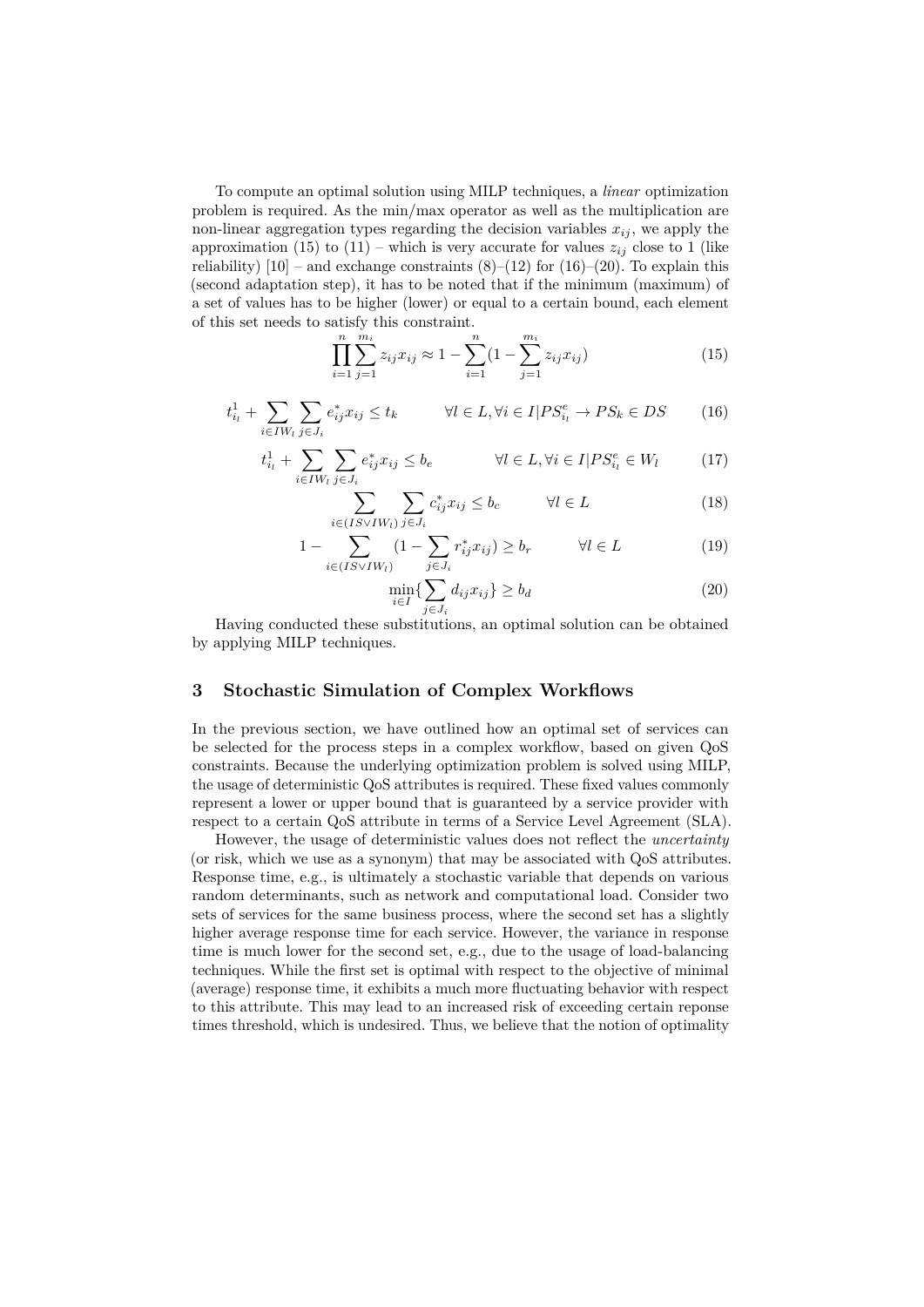To compute an optimal solution using MILP techniques, a *linear* optimization problem is required. As the min/max operator as well as the multiplication are non-linear aggregation types regarding the decision variables  $x_{ij}$ , we apply the approximation (15) to (11) – which is very accurate for values  $z_{ij}$  close to 1 (like reliability)  $[10]$  – and exchange constraints  $(8)$ – $(12)$  for  $(16)$ – $(20)$ . To explain this (second adaptation step), it has to be noted that if the minimum (maximum) of a set of values has to be higher (lower) or equal to a certain bound, each element of this set needs to satisfy this constraint.

$$
\prod_{i=1}^{n} \sum_{j=1}^{m_i} z_{ij} x_{ij} \approx 1 - \sum_{i=1}^{n} \left(1 - \sum_{j=1}^{m_i} z_{ij} x_{ij}\right)
$$
(15)

$$
t_{i_l}^1 + \sum_{i \in IW_l} \sum_{j \in J_i} e_{ij}^* x_{ij} \le t_k \qquad \forall l \in L, \forall i \in I \mid PS_{i_l}^e \to PS_k \in DS \qquad (16)
$$

$$
t_{i_l}^1 + \sum_{i \in IW_l} \sum_{j \in J_i} e_{ij}^* x_{ij} \le b_e \qquad \forall l \in L, \forall i \in I | PS_{i_l}^e \in W_l \tag{17}
$$

$$
\sum_{i \in (IS \vee IW_i)} \sum_{j \in J_i} c_{ij}^* x_{ij} \le b_c \qquad \forall l \in L \tag{18}
$$

$$
1 - \sum_{i \in (IS \vee IW_i)} (1 - \sum_{j \in J_i} r_{ij}^* x_{ij}) \ge b_r \qquad \forall l \in L
$$
 (19)

$$
\min_{i \in I} \{ \sum_{j \in J_i} d_{ij} x_{ij} \} \ge b_d \tag{20}
$$

Having conducted these substitutions, an optimal solution can be obtained by applying MILP techniques.

#### **3 Stochastic Simulation of Complex Workflows**

In the previous section, we have outlined how an optimal set of services can be selected for the process steps in a complex workflow, based on given QoS constraints. Because the underlying optimization problem is solved using MILP, the usage of deterministic QoS attributes is required. These fixed values commonly represent a lower or upper bound that is guaranteed by a service provider with respect to a certain QoS attribute in terms of a Service Level Agreement (SLA).

However, the usage of deterministic values does not reflect the *uncertainty* (or risk, which we use as a synonym) that may be associated with QoS attributes. Response time, e.g., is ultimately a stochastic variable that depends on various random determinants, such as network and computational load. Consider two sets of services for the same business process, where the second set has a slightly higher average response time for each service. However, the variance in response time is much lower for the second set, e.g., due to the usage of load-balancing techniques. While the first set is optimal with respect to the objective of minimal (average) response time, it exhibits a much more fluctuating behavior with respect to this attribute. This may lead to an increased risk of exceeding certain reponse times threshold, which is undesired. Thus, we believe that the notion of optimality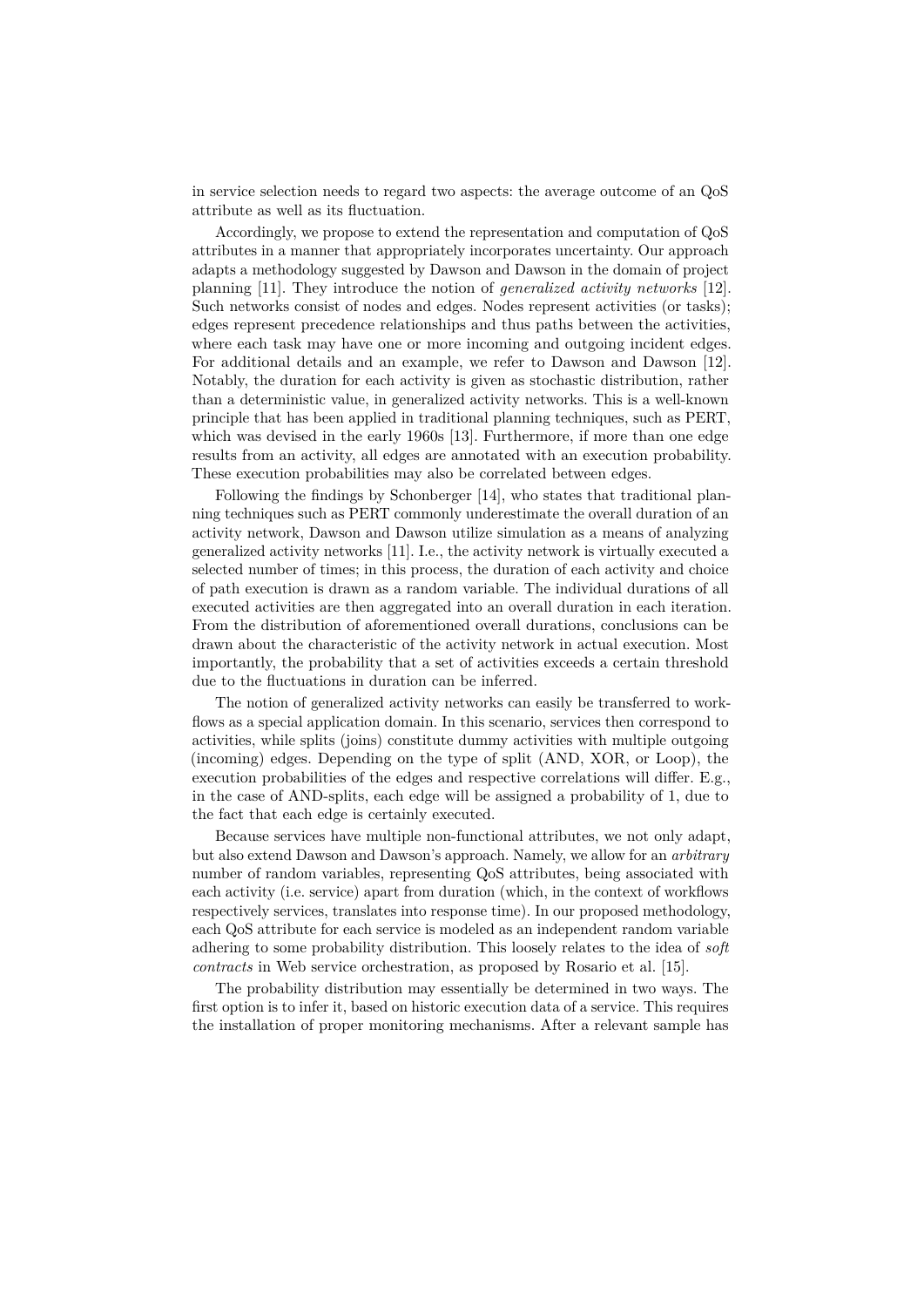in service selection needs to regard two aspects: the average outcome of an QoS attribute as well as its fluctuation.

Accordingly, we propose to extend the representation and computation of QoS attributes in a manner that appropriately incorporates uncertainty. Our approach adapts a methodology suggested by Dawson and Dawson in the domain of project planning [11]. They introduce the notion of *generalized activity networks* [12]. Such networks consist of nodes and edges. Nodes represent activities (or tasks); edges represent precedence relationships and thus paths between the activities, where each task may have one or more incoming and outgoing incident edges. For additional details and an example, we refer to Dawson and Dawson [12]. Notably, the duration for each activity is given as stochastic distribution, rather than a deterministic value, in generalized activity networks. This is a well-known principle that has been applied in traditional planning techniques, such as PERT, which was devised in the early 1960s [13]. Furthermore, if more than one edge results from an activity, all edges are annotated with an execution probability. These execution probabilities may also be correlated between edges.

Following the findings by Schonberger [14], who states that traditional planning techniques such as PERT commonly underestimate the overall duration of an activity network, Dawson and Dawson utilize simulation as a means of analyzing generalized activity networks [11]. I.e., the activity network is virtually executed a selected number of times; in this process, the duration of each activity and choice of path execution is drawn as a random variable. The individual durations of all executed activities are then aggregated into an overall duration in each iteration. From the distribution of aforementioned overall durations, conclusions can be drawn about the characteristic of the activity network in actual execution. Most importantly, the probability that a set of activities exceeds a certain threshold due to the fluctuations in duration can be inferred.

The notion of generalized activity networks can easily be transferred to workflows as a special application domain. In this scenario, services then correspond to activities, while splits (joins) constitute dummy activities with multiple outgoing (incoming) edges. Depending on the type of split (AND, XOR, or Loop), the execution probabilities of the edges and respective correlations will differ. E.g., in the case of AND-splits, each edge will be assigned a probability of 1, due to the fact that each edge is certainly executed.

Because services have multiple non-functional attributes, we not only adapt, but also extend Dawson and Dawson's approach. Namely, we allow for an *arbitrary* number of random variables, representing QoS attributes, being associated with each activity (i.e. service) apart from duration (which, in the context of workflows respectively services, translates into response time). In our proposed methodology, each QoS attribute for each service is modeled as an independent random variable adhering to some probability distribution. This loosely relates to the idea of *soft contracts* in Web service orchestration, as proposed by Rosario et al. [15].

The probability distribution may essentially be determined in two ways. The first option is to infer it, based on historic execution data of a service. This requires the installation of proper monitoring mechanisms. After a relevant sample has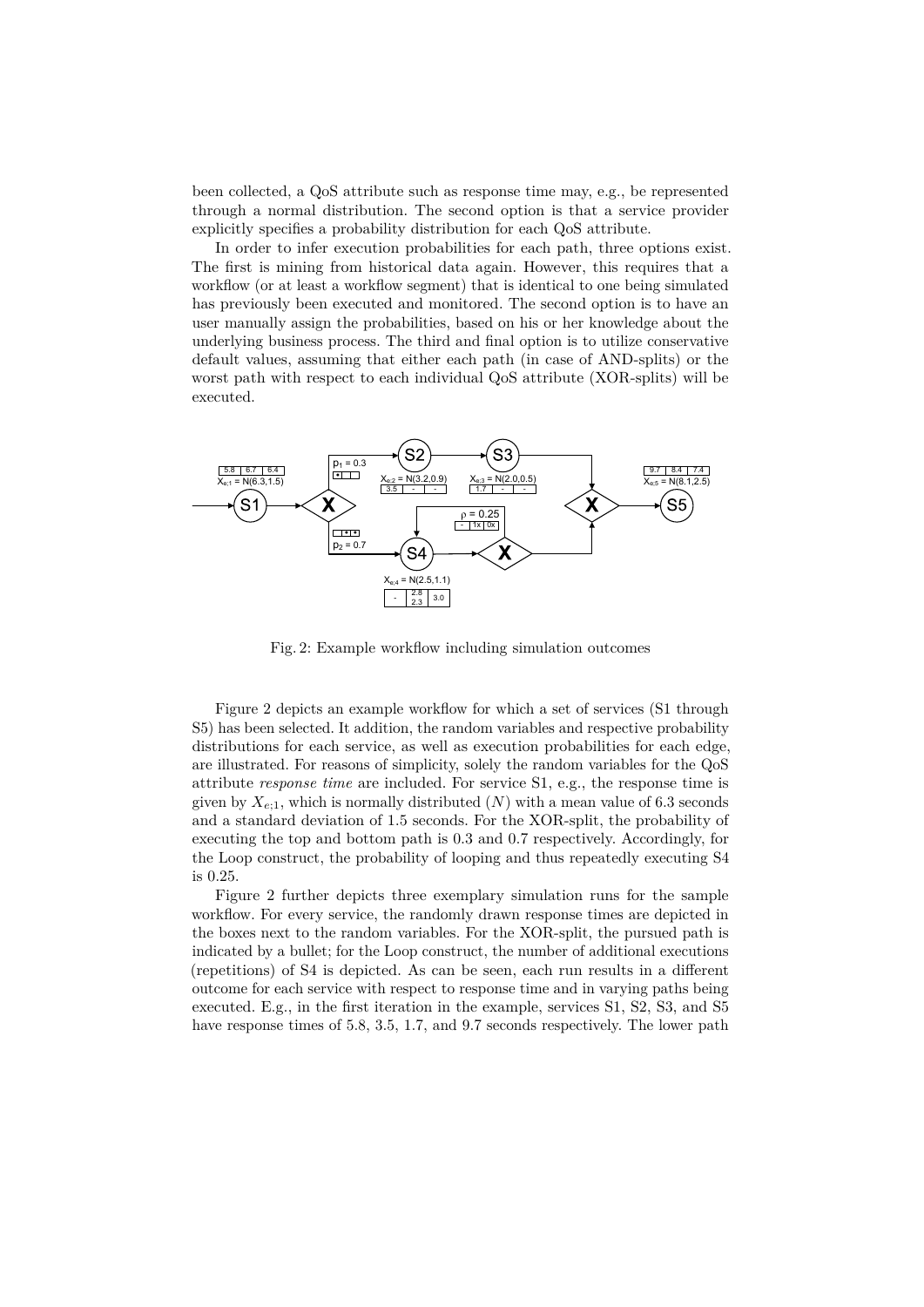been collected, a QoS attribute such as response time may, e.g., be represented through a normal distribution. The second option is that a service provider explicitly specifies a probability distribution for each QoS attribute.

In order to infer execution probabilities for each path, three options exist. The first is mining from historical data again. However, this requires that a workflow (or at least a workflow segment) that is identical to one being simulated has previously been executed and monitored. The second option is to have an user manually assign the probabilities, based on his or her knowledge about the underlying business process. The third and final option is to utilize conservative default values, assuming that either each path (in case of AND-splits) or the worst path with respect to each individual QoS attribute (XOR-splits) will be executed.



Fig. 2: Example workflow including simulation outcomes

Figure 2 depicts an example workflow for which a set of services (S1 through S5) has been selected. It addition, the random variables and respective probability distributions for each service, as well as execution probabilities for each edge, are illustrated. For reasons of simplicity, solely the random variables for the QoS attribute *response time* are included. For service S1, e.g., the response time is given by  $X_{e;1}$ , which is normally distributed  $(N)$  with a mean value of 6.3 seconds and a standard deviation of 1.5 seconds. For the XOR-split, the probability of executing the top and bottom path is 0.3 and 0.7 respectively. Accordingly, for the Loop construct, the probability of looping and thus repeatedly executing S4 is 0.25.

Figure 2 further depicts three exemplary simulation runs for the sample workflow. For every service, the randomly drawn response times are depicted in the boxes next to the random variables. For the XOR-split, the pursued path is indicated by a bullet; for the Loop construct, the number of additional executions (repetitions) of S4 is depicted. As can be seen, each run results in a different outcome for each service with respect to response time and in varying paths being executed. E.g., in the first iteration in the example, services S1, S2, S3, and S5 have response times of 5.8, 3.5, 1.7, and 9.7 seconds respectively. The lower path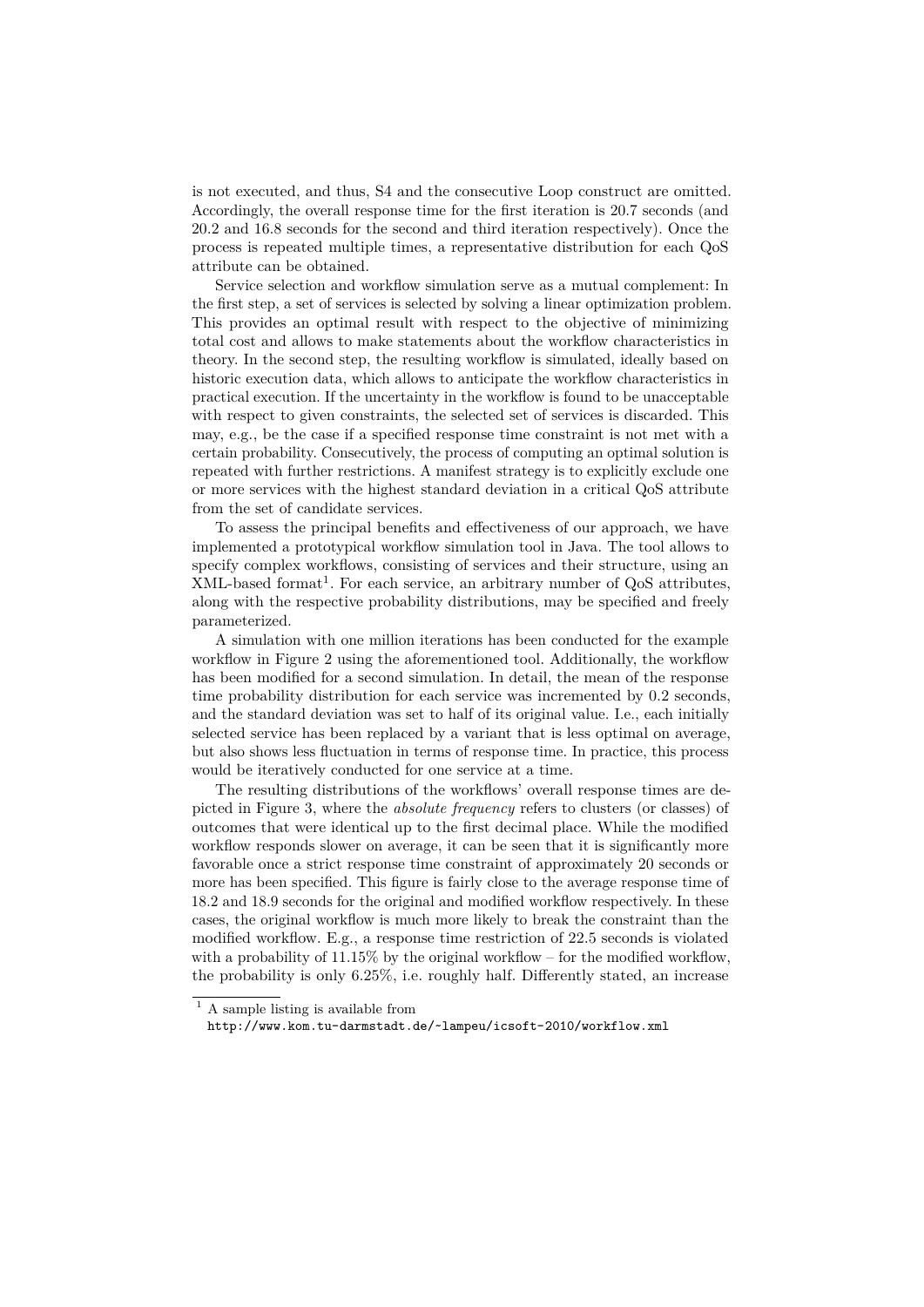is not executed, and thus, S4 and the consecutive Loop construct are omitted. Accordingly, the overall response time for the first iteration is 20.7 seconds (and 20.2 and 16.8 seconds for the second and third iteration respectively). Once the process is repeated multiple times, a representative distribution for each QoS attribute can be obtained.

Service selection and workflow simulation serve as a mutual complement: In the first step, a set of services is selected by solving a linear optimization problem. This provides an optimal result with respect to the objective of minimizing total cost and allows to make statements about the workflow characteristics in theory. In the second step, the resulting workflow is simulated, ideally based on historic execution data, which allows to anticipate the workflow characteristics in practical execution. If the uncertainty in the workflow is found to be unacceptable with respect to given constraints, the selected set of services is discarded. This may, e.g., be the case if a specified response time constraint is not met with a certain probability. Consecutively, the process of computing an optimal solution is repeated with further restrictions. A manifest strategy is to explicitly exclude one or more services with the highest standard deviation in a critical QoS attribute from the set of candidate services.

To assess the principal benefits and effectiveness of our approach, we have implemented a prototypical workflow simulation tool in Java. The tool allows to specify complex workflows, consisting of services and their structure, using an  $XML$ -based format<sup>1</sup>. For each service, an arbitrary number of  $QoS$  attributes, along with the respective probability distributions, may be specified and freely parameterized.

A simulation with one million iterations has been conducted for the example workflow in Figure 2 using the aforementioned tool. Additionally, the workflow has been modified for a second simulation. In detail, the mean of the response time probability distribution for each service was incremented by 0.2 seconds, and the standard deviation was set to half of its original value. I.e., each initially selected service has been replaced by a variant that is less optimal on average, but also shows less fluctuation in terms of response time. In practice, this process would be iteratively conducted for one service at a time.

The resulting distributions of the workflows' overall response times are depicted in Figure 3, where the *absolute frequency* refers to clusters (or classes) of outcomes that were identical up to the first decimal place. While the modified workflow responds slower on average, it can be seen that it is significantly more favorable once a strict response time constraint of approximately 20 seconds or more has been specified. This figure is fairly close to the average response time of 18.2 and 18.9 seconds for the original and modified workflow respectively. In these cases, the original workflow is much more likely to break the constraint than the modified workflow. E.g., a response time restriction of 22.5 seconds is violated with a probability of  $11.15\%$  by the original workflow – for the modified workflow, the probability is only 6.25%, i.e. roughly half. Differently stated, an increase

http://www.kom.tu-darmstadt.de/~lampeu/icsoft-2010/workflow.xml

<sup>&</sup>lt;sup>1</sup> A sample listing is available from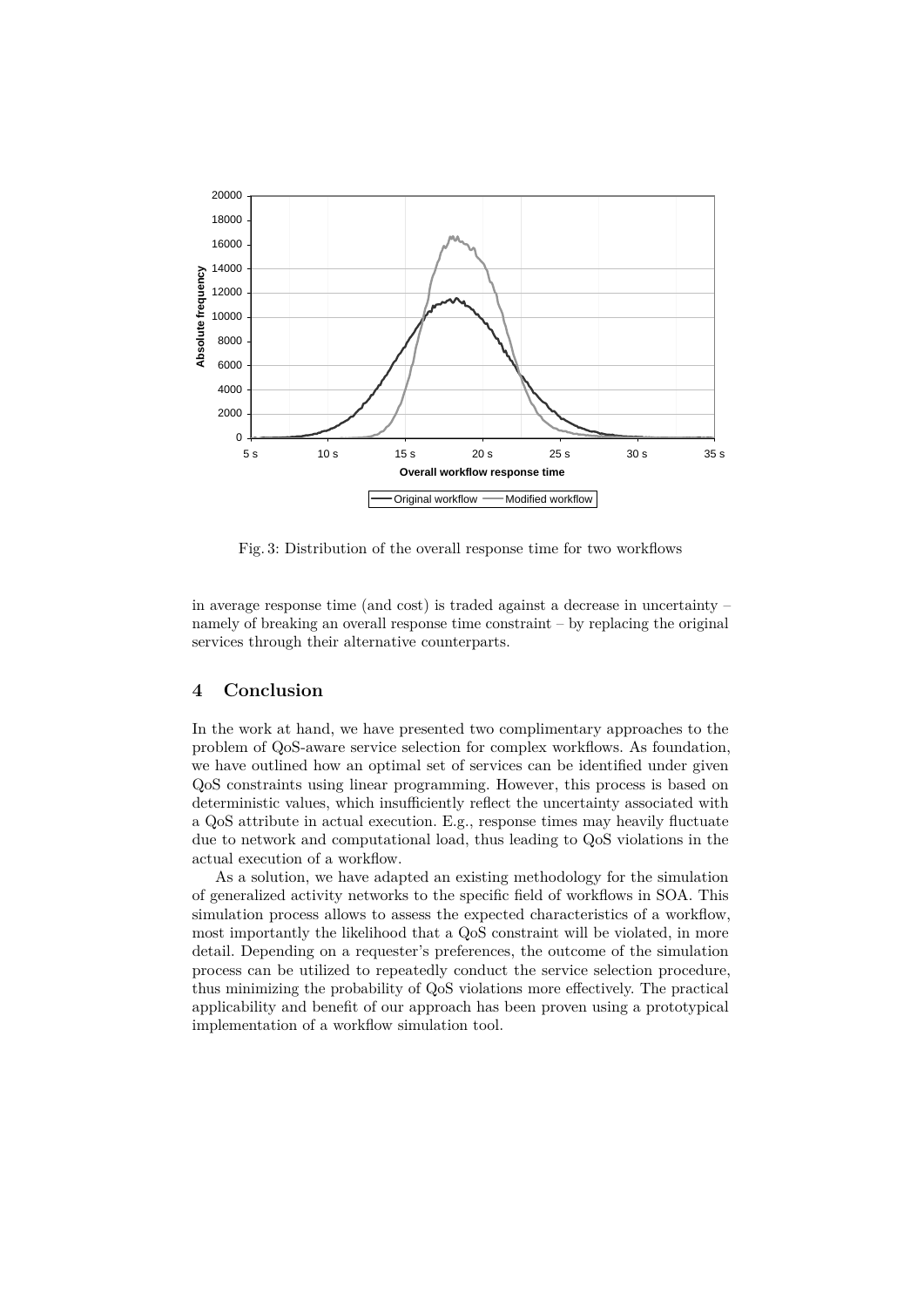

Fig. 3: Distribution of the overall response time for two workflows

in average response time (and cost) is traded against a decrease in uncertainty – namely of breaking an overall response time constraint – by replacing the original services through their alternative counterparts.

## **4 Conclusion**

In the work at hand, we have presented two complimentary approaches to the problem of QoS-aware service selection for complex workflows. As foundation, we have outlined how an optimal set of services can be identified under given QoS constraints using linear programming. However, this process is based on deterministic values, which insufficiently reflect the uncertainty associated with a QoS attribute in actual execution. E.g., response times may heavily fluctuate due to network and computational load, thus leading to QoS violations in the actual execution of a workflow.

As a solution, we have adapted an existing methodology for the simulation of generalized activity networks to the specific field of workflows in SOA. This simulation process allows to assess the expected characteristics of a workflow, most importantly the likelihood that a QoS constraint will be violated, in more detail. Depending on a requester's preferences, the outcome of the simulation process can be utilized to repeatedly conduct the service selection procedure, thus minimizing the probability of QoS violations more effectively. The practical applicability and benefit of our approach has been proven using a prototypical implementation of a workflow simulation tool.